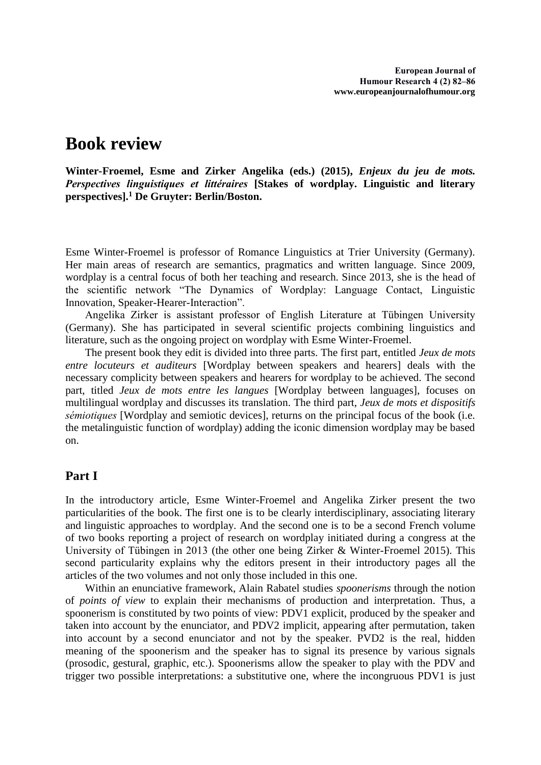# **Book review**

**Winter-Froemel, Esme and Zirker Angelika (eds.) (2015),** *Enjeux du jeu de mots. Perspectives linguistiques et littéraires* **[Stakes of wordplay. Linguistic and literary perspectives].<sup>1</sup> De Gruyter: Berlin/Boston.**

Esme Winter-Froemel is professor of Romance Linguistics at Trier University (Germany). Her main areas of research are semantics, pragmatics and written language. Since 2009, wordplay is a central focus of both her teaching and research. Since 2013, she is the head of the scientific network "The Dynamics of Wordplay: Language Contact, Linguistic Innovation, Speaker-Hearer-Interaction".

Angelika Zirker is assistant professor of English Literature at Tübingen University (Germany). She has participated in several scientific projects combining linguistics and literature, such as the ongoing project on wordplay with Esme Winter-Froemel.

The present book they edit is divided into three parts. The first part, entitled *Jeux de mots entre locuteurs et auditeurs* [Wordplay between speakers and hearers] deals with the necessary complicity between speakers and hearers for wordplay to be achieved. The second part, titled *Jeux de mots entre les langues* [Wordplay between languages], focuses on multilingual wordplay and discusses its translation. The third part, *Jeux de mots et dispositifs sémiotiques* [Wordplay and semiotic devices], returns on the principal focus of the book (i.e. the metalinguistic function of wordplay) adding the iconic dimension wordplay may be based on.

## **Part I**

In the introductory article, Esme Winter-Froemel and Angelika Zirker present the two particularities of the book. The first one is to be clearly interdisciplinary, associating literary and linguistic approaches to wordplay. And the second one is to be a second French volume of two books reporting a project of research on wordplay initiated during a congress at the University of Tübingen in 2013 (the other one being Zirker & Winter-Froemel 2015). This second particularity explains why the editors present in their introductory pages all the articles of the two volumes and not only those included in this one.

Within an enunciative framework, Alain Rabatel studies *spoonerisms* through the notion of *points of view* to explain their mechanisms of production and interpretation. Thus, a spoonerism is constituted by two points of view: PDV1 explicit, produced by the speaker and taken into account by the enunciator, and PDV2 implicit, appearing after permutation, taken into account by a second enunciator and not by the speaker. PVD2 is the real, hidden meaning of the spoonerism and the speaker has to signal its presence by various signals (prosodic, gestural, graphic, etc.). Spoonerisms allow the speaker to play with the PDV and trigger two possible interpretations: a substitutive one, where the incongruous PDV1 is just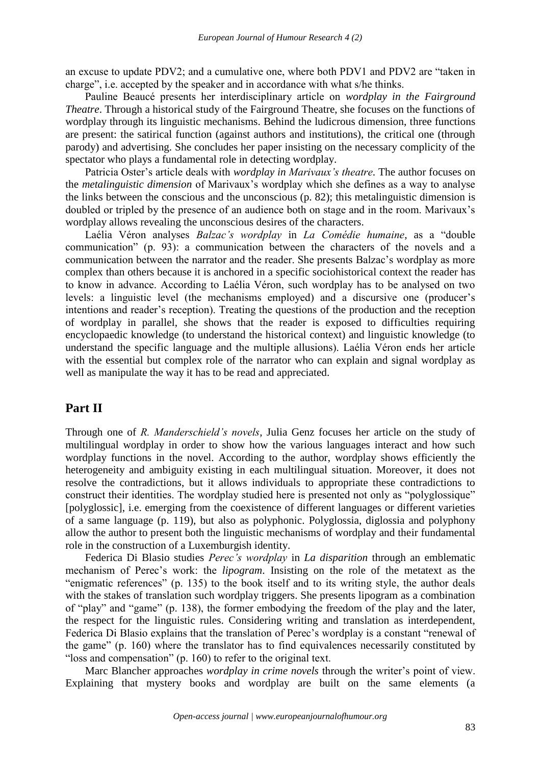an excuse to update PDV2; and a cumulative one, where both PDV1 and PDV2 are "taken in charge", i.e. accepted by the speaker and in accordance with what s/he thinks.

Pauline Beaucé presents her interdisciplinary article on *wordplay in the Fairground Theatre*. Through a historical study of the Fairground Theatre, she focuses on the functions of wordplay through its linguistic mechanisms. Behind the ludicrous dimension, three functions are present: the satirical function (against authors and institutions), the critical one (through parody) and advertising. She concludes her paper insisting on the necessary complicity of the spectator who plays a fundamental role in detecting wordplay.

Patricia Oster's article deals with *wordplay in Marivaux's theatre*. The author focuses on the *metalinguistic dimension* of Marivaux's wordplay which she defines as a way to analyse the links between the conscious and the unconscious (p. 82); this metalinguistic dimension is doubled or tripled by the presence of an audience both on stage and in the room. Marivaux's wordplay allows revealing the unconscious desires of the characters.

Laélia Véron analyses *Balzac's wordplay* in *La Comédie humaine*, as a "double communication" (p. 93): a communication between the characters of the novels and a communication between the narrator and the reader. She presents Balzac's wordplay as more complex than others because it is anchored in a specific sociohistorical context the reader has to know in advance. According to Laélia Véron, such wordplay has to be analysed on two levels: a linguistic level (the mechanisms employed) and a discursive one (producer's intentions and reader's reception). Treating the questions of the production and the reception of wordplay in parallel, she shows that the reader is exposed to difficulties requiring encyclopaedic knowledge (to understand the historical context) and linguistic knowledge (to understand the specific language and the multiple allusions). Laélia Véron ends her article with the essential but complex role of the narrator who can explain and signal wordplay as well as manipulate the way it has to be read and appreciated.

### **Part II**

Through one of *R. Manderschield's novels*, Julia Genz focuses her article on the study of multilingual wordplay in order to show how the various languages interact and how such wordplay functions in the novel. According to the author, wordplay shows efficiently the heterogeneity and ambiguity existing in each multilingual situation. Moreover, it does not resolve the contradictions, but it allows individuals to appropriate these contradictions to construct their identities. The wordplay studied here is presented not only as "polyglossique" [polyglossic], i.e. emerging from the coexistence of different languages or different varieties of a same language (p. 119), but also as polyphonic. Polyglossia, diglossia and polyphony allow the author to present both the linguistic mechanisms of wordplay and their fundamental role in the construction of a Luxemburgish identity.

Federica Di Blasio studies *Perec's wordplay* in *La disparition* through an emblematic mechanism of Perec's work: the *lipogram*. Insisting on the role of the metatext as the "enigmatic references" (p. 135) to the book itself and to its writing style, the author deals with the stakes of translation such wordplay triggers. She presents lipogram as a combination of "play" and "game" (p. 138), the former embodying the freedom of the play and the later, the respect for the linguistic rules. Considering writing and translation as interdependent, Federica Di Blasio explains that the translation of Perec's wordplay is a constant "renewal of the game" (p. 160) where the translator has to find equivalences necessarily constituted by "loss and compensation" (p. 160) to refer to the original text.

Marc Blancher approaches *wordplay in crime novels* through the writer's point of view. Explaining that mystery books and wordplay are built on the same elements (a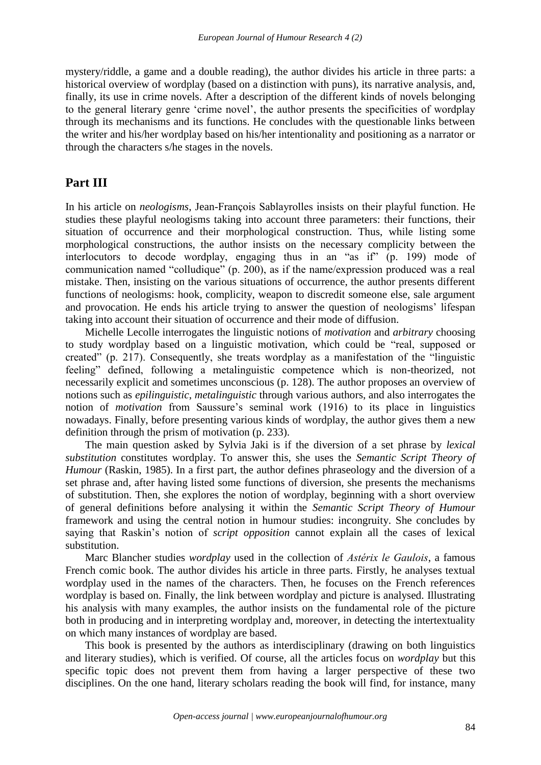mystery/riddle, a game and a double reading), the author divides his article in three parts: a historical overview of wordplay (based on a distinction with puns), its narrative analysis, and, finally, its use in crime novels. After a description of the different kinds of novels belonging to the general literary genre 'crime novel', the author presents the specificities of wordplay through its mechanisms and its functions. He concludes with the questionable links between the writer and his/her wordplay based on his/her intentionality and positioning as a narrator or through the characters s/he stages in the novels.

## **Part III**

In his article on *neologisms*, Jean-François Sablayrolles insists on their playful function. He studies these playful neologisms taking into account three parameters: their functions, their situation of occurrence and their morphological construction. Thus, while listing some morphological constructions, the author insists on the necessary complicity between the interlocutors to decode wordplay, engaging thus in an "as if" (p. 199) mode of communication named "colludique" (p. 200), as if the name/expression produced was a real mistake. Then, insisting on the various situations of occurrence, the author presents different functions of neologisms: hook, complicity, weapon to discredit someone else, sale argument and provocation. He ends his article trying to answer the question of neologisms' lifespan taking into account their situation of occurrence and their mode of diffusion.

Michelle Lecolle interrogates the linguistic notions of *motivation* and *arbitrary* choosing to study wordplay based on a linguistic motivation, which could be "real, supposed or created" (p. 217). Consequently, she treats wordplay as a manifestation of the "linguistic feeling" defined, following a metalinguistic competence which is non-theorized, not necessarily explicit and sometimes unconscious (p. 128). The author proposes an overview of notions such as *epilinguistic*, *metalinguistic* through various authors, and also interrogates the notion of *motivation* from Saussure's seminal work (1916) to its place in linguistics nowadays. Finally, before presenting various kinds of wordplay, the author gives them a new definition through the prism of motivation (p. 233).

The main question asked by Sylvia Jaki is if the diversion of a set phrase by *lexical substitution* constitutes wordplay. To answer this, she uses the *Semantic Script Theory of Humour* (Raskin, 1985). In a first part, the author defines phraseology and the diversion of a set phrase and, after having listed some functions of diversion, she presents the mechanisms of substitution. Then, she explores the notion of wordplay, beginning with a short overview of general definitions before analysing it within the *Semantic Script Theory of Humour* framework and using the central notion in humour studies: incongruity. She concludes by saying that Raskin's notion of *script opposition* cannot explain all the cases of lexical substitution.

Marc Blancher studies *wordplay* used in the collection of *Astérix le Gaulois*, a famous French comic book. The author divides his article in three parts. Firstly, he analyses textual wordplay used in the names of the characters. Then, he focuses on the French references wordplay is based on. Finally, the link between wordplay and picture is analysed. Illustrating his analysis with many examples, the author insists on the fundamental role of the picture both in producing and in interpreting wordplay and, moreover, in detecting the intertextuality on which many instances of wordplay are based.

This book is presented by the authors as interdisciplinary (drawing on both linguistics and literary studies), which is verified. Of course, all the articles focus on *wordplay* but this specific topic does not prevent them from having a larger perspective of these two disciplines. On the one hand, literary scholars reading the book will find, for instance, many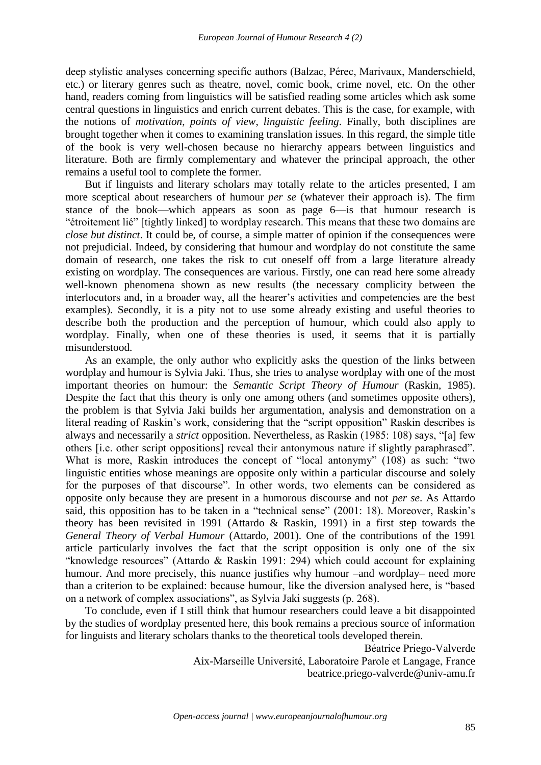deep stylistic analyses concerning specific authors (Balzac, Pérec, Marivaux, Manderschield, etc.) or literary genres such as theatre, novel, comic book, crime novel, etc. On the other hand, readers coming from linguistics will be satisfied reading some articles which ask some central questions in linguistics and enrich current debates. This is the case, for example, with the notions of *motivation*, *points of view*, *linguistic feeling*. Finally, both disciplines are brought together when it comes to examining translation issues. In this regard, the simple title of the book is very well-chosen because no hierarchy appears between linguistics and literature. Both are firmly complementary and whatever the principal approach, the other remains a useful tool to complete the former.

But if linguists and literary scholars may totally relate to the articles presented, I am more sceptical about researchers of humour *per se* (whatever their approach is). The firm stance of the book—which appears as soon as page 6—is that humour research is "étroitement lié" [tightly linked] to wordplay research. This means that these two domains are *close but distinct*. It could be, of course, a simple matter of opinion if the consequences were not prejudicial. Indeed, by considering that humour and wordplay do not constitute the same domain of research, one takes the risk to cut oneself off from a large literature already existing on wordplay. The consequences are various. Firstly, one can read here some already well-known phenomena shown as new results (the necessary complicity between the interlocutors and, in a broader way, all the hearer's activities and competencies are the best examples). Secondly, it is a pity not to use some already existing and useful theories to describe both the production and the perception of humour, which could also apply to wordplay. Finally, when one of these theories is used, it seems that it is partially misunderstood.

As an example, the only author who explicitly asks the question of the links between wordplay and humour is Sylvia Jaki. Thus, she tries to analyse wordplay with one of the most important theories on humour: the *Semantic Script Theory of Humour* (Raskin, 1985). Despite the fact that this theory is only one among others (and sometimes opposite others), the problem is that Sylvia Jaki builds her argumentation, analysis and demonstration on a literal reading of Raskin's work, considering that the "script opposition" Raskin describes is always and necessarily a *strict* opposition. Nevertheless, as Raskin (1985: 108) says, "[a] few others [i.e. other script oppositions] reveal their antonymous nature if slightly paraphrased". What is more, Raskin introduces the concept of "local antonymy" (108) as such: "two linguistic entities whose meanings are opposite only within a particular discourse and solely for the purposes of that discourse". In other words, two elements can be considered as opposite only because they are present in a humorous discourse and not *per se*. As Attardo said, this opposition has to be taken in a "technical sense" (2001: 18). Moreover, Raskin's theory has been revisited in 1991 (Attardo & Raskin, 1991) in a first step towards the *General Theory of Verbal Humour* (Attardo, 2001). One of the contributions of the 1991 article particularly involves the fact that the script opposition is only one of the six "knowledge resources" (Attardo & Raskin 1991: 294) which could account for explaining humour. And more precisely, this nuance justifies why humour –and wordplay– need more than a criterion to be explained: because humour, like the diversion analysed here, is "based on a network of complex associations", as Sylvia Jaki suggests (p. 268).

To conclude, even if I still think that humour researchers could leave a bit disappointed by the studies of wordplay presented here, this book remains a precious source of information for linguists and literary scholars thanks to the theoretical tools developed therein.

> Béatrice Priego-Valverde Aix-Marseille Université, Laboratoire Parole et Langage, France beatrice.priego-valverde@univ-amu.fr